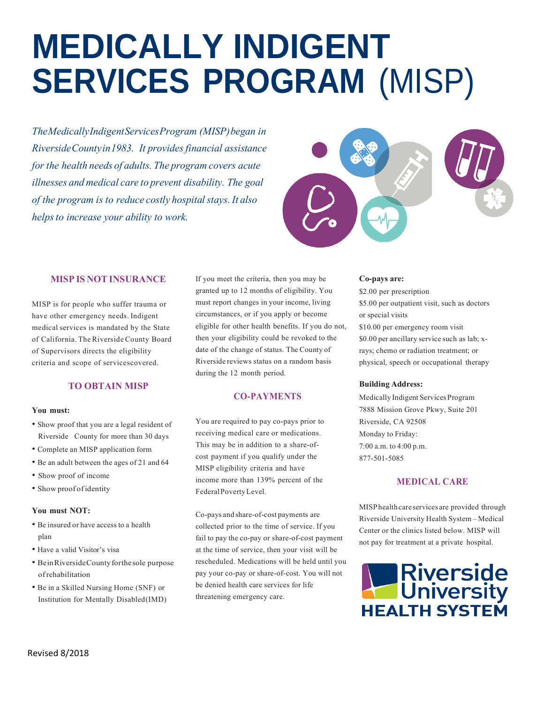# **MEDICALLY INDIGENT SERVICES PROGRAM** (MISP)

*TheMedicallyIndigentServicesProgram (MISP)began in RiversideCountyin1983. Itprovidesfinancialassistance for the health needs of adults. The program covers acute illnessesandmedicalcaretoprevent disability. Thegoal of the program is to reduce costly hospital stays. It also helpsto increase your ability to work.*



### **MISP ISNOTINSURANCE**

MISP is for people who suffer trauma or have other emergency needs. Indigent medical services is mandated by the State of California. The Riverside County Board of Supervisors directs the eligibility criteria and scope of servicescovered.

## **TO OBTAIN MISP**

#### **You must:**

- Show proof that you are a legal resident of Riverside County for more than 30 days
- Complete an MISP application form
- Be an adult between the ages of 21 and 64
- Show proof of income
- Showproofofidentity

#### **You must NOT:**

- Beinsuredorhaveaccess toa health plan
- Have a valid Visitor's visa
- BeinRiversideCountyforthesole purpose ofrehabilitation
- Be in a Skilled Nursing Home (SNF) or Institution for Mentally Disabled(IMD)

If you meet the criteria, then you may be granted up to 12 months of eligibility. You must report changes inyour income, living circumstances, or if you apply or become eligible for other health benefits. If you do not, then your eligibility could be revoked to the date of the change of status. The Countyof Riversidereviews status on a random basis during the 12 month period.

#### **CO-PAYMENTS**

You are required to pay co-pays prior to receiving medical care or medications. This may be in addition to a share-ofcost payment if you qualify under the MISP eligibility criteria and have income more than 139% percent of the FederalPovertyLevel.

Co-paysandshare-of-costpayments are collected prior to the time of service. Ifyou fail to pay the co-pay or share-of-cost payment at the time of service, then your visit will be rescheduled. Medications will be held until you pay your co-pay or share-of-cost. You will not be denied health care services for life threatening emergency care.

#### **Co-pays are:**

\$2.00 per prescription \$5.00 per outpatient visit, such as doctors or special visits \$10.00 per emergency room visit \$0.00 per ancillary service such as lab; xrays; chemo or radiation treatment; or physical, speech or occupational therapy

#### **Building Address:**

MedicallyIndigent Services Program 7888 Mission Grove Pkwy, Suite 201 Riverside, CA 92508 Monday to Friday: 7:00 a.m. to 4:00 p.m. 877-501-5085

#### **MEDICAL CARE**

MISP health care services are provided through Riverside University Health System –Medical Center or the clinics listed below. MISP will not pay for treatment at a private hospital.

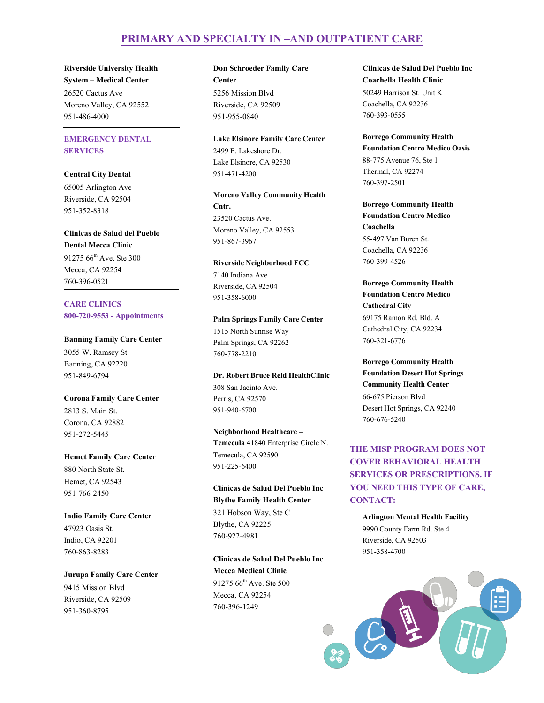## **PRIMARY AND SPECIALTY IN –AND OUTPATIENT CARE**

**Riverside University Health System – Medical Center** 26520 Cactus Ave Moreno Valley, CA 92552 951-486-4000

## **EMERGENCY DENTAL SERVICES**

**Central City Dental** 65005 Arlington Ave Riverside, CA 92504 951-352-8318

**Clinicas de Salud del Pueblo Dental Mecca Clinic** 91275  $66^{\text{th}}$  Ave. Ste 300 Mecca, CA 92254 760-396-0521

**CARE CLINICS 800-720-9553 - Appointments**

**Banning Family Care Center** 3055 W. Ramsey St. Banning, CA 92220 951-849-6794

**Corona Family Care Center** 2813 S. Main St. Corona, CA 92882 951-272-5445

**Hemet Family Care Center** 880 North State St. Hemet, CA 92543 951-766-2450

**Indio Family Care Center** 47923 Oasis St. Indio, CA 92201 760-863-8283

**Jurupa Family Care Center** 9415 Mission Blvd Riverside, CA 92509 951-360-8795

**Don Schroeder Family Care Center** 5256 Mission Blvd Riverside, CA 92509 951-955-0840

**Lake Elsinore Family Care Center** 2499 E. Lakeshore Dr. Lake Elsinore, CA 92530 951-471-4200

**Moreno Valley Community Health Cntr.**  23520 Cactus Ave. Moreno Valley, CA 92553 951-867-3967

**Riverside Neighborhood FCC** 7140 Indiana Ave Riverside, CA 92504 951-358-6000

**Palm Springs Family Care Center** 1515 North Sunrise Way Palm Springs, CA 92262 760-778-2210

**Dr. Robert Bruce Reid HealthClinic** 308 San Jacinto Ave. Perris, CA 92570 951-940-6700

**Neighborhood Healthcare – Temecula** 41840 Enterprise Circle N. Temecula, CA 92590 951-225-6400

**Clinicas de Salud Del Pueblo Inc Blythe Family Health Center**  321 Hobson Way, Ste C Blythe, CA 92225 760-922-4981

**Clinicas de Salud Del Pueblo Inc Mecca Medical Clinic**  91275 66<sup>th</sup> Ave. Ste 500 Mecca, CA 92254 760-396-1249

**Clinicas de Salud Del Pueblo Inc Coachella Health Clinic**  50249 Harrison St. Unit K Coachella, CA 92236 760-393-0555

**Borrego Community Health Foundation Centro Medico Oasis** 88-775 Avenue 76, Ste 1 Thermal, CA 92274 760-397-2501

**Borrego Community Health Foundation Centro Medico Coachella**  55-497 Van Buren St. Coachella, CA 92236 760-399-4526

**Borrego Community Health Foundation Centro Medico Cathedral City** 69175 Ramon Rd. Bld. A Cathedral City, CA 92234 760-321-6776

**Borrego Community Health Foundation Desert Hot Springs Community Health Center** 66-675 Pierson Blvd Desert Hot Springs, CA 92240 760-676-5240

**THE MISP PROGRAM DOES NOT COVER BEHAVIORAL HEALTH SERVICES OR PRESCRIPTIONS. IF YOU NEED THIS TYPE OF CARE, CONTACT:**

**Arlington Mental Health Facility** 9990 County Farm Rd. Ste 4 Riverside, CA 92503 951-358-4700

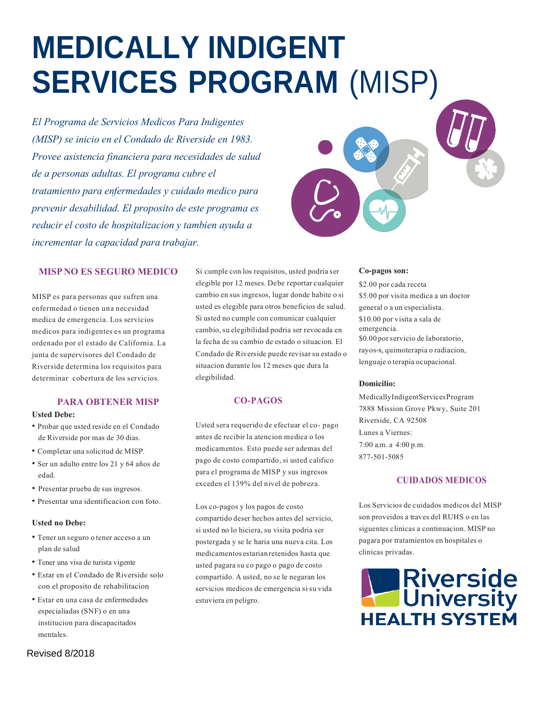# **MEDICALLY INDIGENT SERVICES PROGRAM** (MISP)

*El Programade Servicios Medicos Para Indigentes (MISP)* se *inicio en el Condado de Riverside en 1983. Provee asistencia financiera para necesidades de salud*  $de$  *a personas adultas. El programa cubre el tratamiento para enfermedades y cuidado medico para prevenirdesabilidad. El propositode este programaes reducir el costode hospitalizaciony tambienayuda a incrementar la capacidad para trabajar.* 



### **MISPNO ES SEGURO MEDICO**

MISP es para personas que sufren una enfermedad o tienen una necesidad medica de emergencia. Los servicios medicos para indigentes es un programa ordenado por el estado de California. La junta de supervisores del Condado de Riversidedetermina los requisitos para determinar cobertura de los servicios.

## **PARA OBTENER MISP**

#### **Usted Debe:**

- Probar que usted reside en el Condado de Riverside por mas de 30 dias.
- Completar una solicitud de MISP.
- Ser un adulto entre los 21 y 64 años de edad.
- Presentar prueba de sus ingresos.
- Presentar una identificacion con foto.

#### **Usted no Debe:**

- Tenerunseguro otener acceso a un plan de salud
- Tener una visa de turistavigente
- Estar en el Condado de Riverside solo con el proposito de rehabilitacion
- Estar en una casa de enfermedades especialiadas (SNF) o en una institucion para discapacitados mentales.

Si cumple con los requisitos, usted podria ser elegible por 12 meses. Debe reportar cualquier cambio en sus ingresos, lugar donde habite o si usted es elegible para otros beneficios de salud. Si usted no cumple con comunicar cualquier cambio, su elegibilidad podria ser revocada en la fecha de sucambio de estado osituacion. El Condado de Riverside puede revisar su estado o situacion durante los 12 meses que dura la elegibilidad.

### **CO-PAGOS**

Usted sera requerido de efectuar el co-pago antes de recibir la atencion medica olos medicamentos. Esto puede ser ademas del pago de costo compartido, si usted califico para el programa de MISP y sus ingresos exceden el 139% del nivel de pobreza.

Los co-pagos y los pagos de costo compartido deser hechos antes del servicio, siusted nolo hiciera, su visita podria ser postergada yse le hariauna nueva cita. Los medicamentosestarianretenidos hasta que usted pagara su co pago o pago de costo compartido. A usted, no se le negaran los servicios medicos de emergencia si su vida estuviera en peligro.

#### **Co-pagos son:**

\$2.00 porcada receta \$5.00 por visita medica a un doctor general o a un especialista. \$10.00 por visita a sala de emergencia. \$0.00 por servicio de laboratorio, rayos-x, quimoterapia o radiacion, lenguaje o terapia ocupacional.

#### **Domicilio:**

MedicallyIndigentServicesProgram 7888 Mission Grove Pkwy, Suite 201 Riverside, CA 92508 Lunes a Viernes: 7:00 a.m. a 4:00 p.m. 877-501-5085

## **CUIDADOS MEDICOS**

Los Servicios de cuidados medicos del MISP son proveidos a traves del RUHS o en las siguentes clinicas a continuacion. MISP no pagara por tratamientos en hospitales o clinicas privadas.